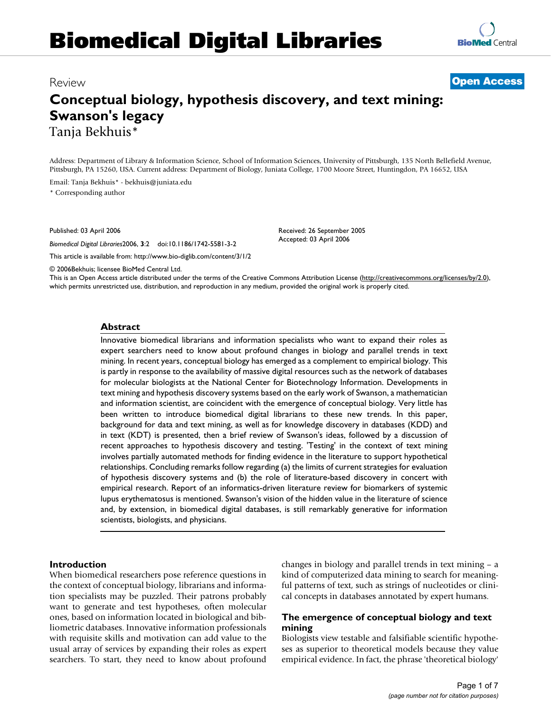# **Biomedical Digital Libraries**



# **Conceptual biology, hypothesis discovery, and text mining: Swanson's legacy** Tanja Bekhuis\*

Address: Department of Library & Information Science, School of Information Sciences, University of Pittsburgh, 135 North Bellefield Avenue, Pittsburgh, PA 15260, USA. Current address: Department of Biology, Juniata College, 1700 Moore Street, Huntingdon, PA 16652, USA

Email: Tanja Bekhuis\* - bekhuis@juniata.edu

\* Corresponding author

Published: 03 April 2006

*Biomedical Digital Libraries*2006, **3**:2 doi:10.1186/1742-5581-3-2

This article is available from: http://www.bio-diglib.com/content/3/1/2

Received: 26 September 2005 Accepted: 03 April 2006

© 2006Bekhuis; licensee BioMed Central Ltd.

This is an Open Access article distributed under the terms of the Creative Commons Attribution License (http://creativecommons.org/licenses/by/2.0), which permits unrestricted use, distribution, and reproduction in any medium, provided the original work is properly cited.

#### **Abstract**

Innovative biomedical librarians and information specialists who want to expand their roles as expert searchers need to know about profound changes in biology and parallel trends in text mining. In recent years, conceptual biology has emerged as a complement to empirical biology. This is partly in response to the availability of massive digital resources such as the network of databases for molecular biologists at the National Center for Biotechnology Information. Developments in text mining and hypothesis discovery systems based on the early work of Swanson, a mathematician and information scientist, are coincident with the emergence of conceptual biology. Very little has been written to introduce biomedical digital librarians to these new trends. In this paper, background for data and text mining, as well as for knowledge discovery in databases (KDD) and in text (KDT) is presented, then a brief review of Swanson's ideas, followed by a discussion of recent approaches to hypothesis discovery and testing. 'Testing' in the context of text mining involves partially automated methods for finding evidence in the literature to support hypothetical relationships. Concluding remarks follow regarding (a) the limits of current strategies for evaluation of hypothesis discovery systems and (b) the role of literature-based discovery in concert with empirical research. Report of an informatics-driven literature review for biomarkers of systemic lupus erythematosus is mentioned. Swanson's vision of the hidden value in the literature of science and, by extension, in biomedical digital databases, is still remarkably generative for information scientists, biologists, and physicians.

#### **Introduction**

When biomedical researchers pose reference questions in the context of conceptual biology, librarians and information specialists may be puzzled. Their patrons probably want to generate and test hypotheses, often molecular ones, based on information located in biological and bibliometric databases. Innovative information professionals with requisite skills and motivation can add value to the usual array of services by expanding their roles as expert searchers. To start, they need to know about profound changes in biology and parallel trends in text mining – a kind of computerized data mining to search for meaningful patterns of text, such as strings of nucleotides or clinical concepts in databases annotated by expert humans.

# **The emergence of conceptual biology and text mining**

Biologists view testable and falsifiable scientific hypotheses as superior to theoretical models because they value empirical evidence. In fact, the phrase 'theoretical biology'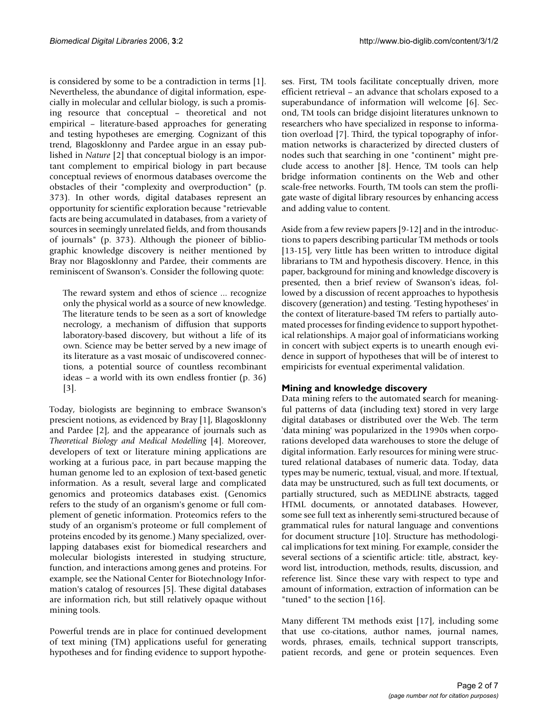is considered by some to be a contradiction in terms [1]. Nevertheless, the abundance of digital information, especially in molecular and cellular biology, is such a promising resource that conceptual – theoretical and not empirical – literature-based approaches for generating and testing hypotheses are emerging. Cognizant of this trend, Blagosklonny and Pardee argue in an essay published in *Nature* [2] that conceptual biology is an important complement to empirical biology in part because conceptual reviews of enormous databases overcome the obstacles of their "complexity and overproduction" (p. 373). In other words, digital databases represent an opportunity for scientific exploration because "retrievable facts are being accumulated in databases, from a variety of sources in seemingly unrelated fields, and from thousands of journals" (p. 373). Although the pioneer of bibliographic knowledge discovery is neither mentioned by Bray nor Blagosklonny and Pardee, their comments are reminiscent of Swanson's. Consider the following quote:

The reward system and ethos of science ... recognize only the physical world as a source of new knowledge. The literature tends to be seen as a sort of knowledge necrology, a mechanism of diffusion that supports laboratory-based discovery, but without a life of its own. Science may be better served by a new image of its literature as a vast mosaic of undiscovered connections, a potential source of countless recombinant ideas – a world with its own endless frontier (p. 36)  $|3|$ .

Today, biologists are beginning to embrace Swanson's prescient notions, as evidenced by Bray [1], Blagosklonny and Pardee [2], and the appearance of journals such as *Theoretical Biology and Medical Modelling* [4]. Moreover, developers of text or literature mining applications are working at a furious pace, in part because mapping the human genome led to an explosion of text-based genetic information. As a result, several large and complicated genomics and proteomics databases exist. (Genomics refers to the study of an organism's genome or full complement of genetic information. Proteomics refers to the study of an organism's proteome or full complement of proteins encoded by its genome.) Many specialized, overlapping databases exist for biomedical researchers and molecular biologists interested in studying structure, function, and interactions among genes and proteins. For example, see the National Center for Biotechnology Information's catalog of resources [5]. These digital databases are information rich, but still relatively opaque without mining tools.

Powerful trends are in place for continued development of text mining (TM) applications useful for generating hypotheses and for finding evidence to support hypotheses. First, TM tools facilitate conceptually driven, more efficient retrieval – an advance that scholars exposed to a superabundance of information will welcome [6]. Second, TM tools can bridge disjoint literatures unknown to researchers who have specialized in response to information overload [7]. Third, the typical topography of information networks is characterized by directed clusters of nodes such that searching in one "continent" might preclude access to another [8]. Hence, TM tools can help bridge information continents on the Web and other scale-free networks. Fourth, TM tools can stem the profligate waste of digital library resources by enhancing access and adding value to content.

Aside from a few review papers [9-12] and in the introductions to papers describing particular TM methods or tools [13-15], very little has been written to introduce digital librarians to TM and hypothesis discovery. Hence, in this paper, background for mining and knowledge discovery is presented, then a brief review of Swanson's ideas, followed by a discussion of recent approaches to hypothesis discovery (generation) and testing. 'Testing hypotheses' in the context of literature-based TM refers to partially automated processes for finding evidence to support hypothetical relationships. A major goal of informaticians working in concert with subject experts is to unearth enough evidence in support of hypotheses that will be of interest to empiricists for eventual experimental validation.

# **Mining and knowledge discovery**

Data mining refers to the automated search for meaningful patterns of data (including text) stored in very large digital databases or distributed over the Web. The term 'data mining' was popularized in the 1990s when corporations developed data warehouses to store the deluge of digital information. Early resources for mining were structured relational databases of numeric data. Today, data types may be numeric, textual, visual, and more. If textual, data may be unstructured, such as full text documents, or partially structured, such as MEDLINE abstracts, tagged HTML documents, or annotated databases. However, some see full text as inherently semi-structured because of grammatical rules for natural language and conventions for document structure [10]. Structure has methodological implications for text mining. For example, consider the several sections of a scientific article: title, abstract, keyword list, introduction, methods, results, discussion, and reference list. Since these vary with respect to type and amount of information, extraction of information can be "tuned" to the section [16].

Many different TM methods exist [17], including some that use co-citations, author names, journal names, words, phrases, emails, technical support transcripts, patient records, and gene or protein sequences. Even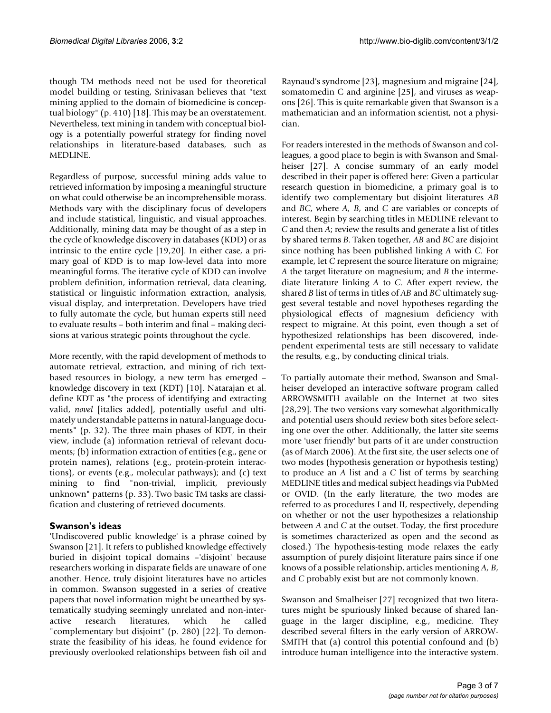though TM methods need not be used for theoretical model building or testing, Srinivasan believes that "text mining applied to the domain of biomedicine is conceptual biology" (p. 410) [18]. This may be an overstatement. Nevertheless, text mining in tandem with conceptual biology is a potentially powerful strategy for finding novel relationships in literature-based databases, such as MEDLINE.

Regardless of purpose, successful mining adds value to retrieved information by imposing a meaningful structure on what could otherwise be an incomprehensible morass. Methods vary with the disciplinary focus of developers and include statistical, linguistic, and visual approaches. Additionally, mining data may be thought of as a step in the cycle of knowledge discovery in databases (KDD) or as intrinsic to the entire cycle [19,20]. In either case, a primary goal of KDD is to map low-level data into more meaningful forms. The iterative cycle of KDD can involve problem definition, information retrieval, data cleaning, statistical or linguistic information extraction, analysis, visual display, and interpretation. Developers have tried to fully automate the cycle, but human experts still need to evaluate results – both interim and final – making decisions at various strategic points throughout the cycle.

More recently, with the rapid development of methods to automate retrieval, extraction, and mining of rich textbased resources in biology, a new term has emerged – knowledge discovery in text (KDT) [10]. Natarajan et al. define KDT as "the process of identifying and extracting valid, *novel* [italics added], potentially useful and ultimately understandable patterns in natural-language documents" (p. 32). The three main phases of KDT, in their view, include (a) information retrieval of relevant documents; (b) information extraction of entities (e.g., gene or protein names), relations (e.g., protein-protein interactions), or events (e.g., molecular pathways); and (c) text mining to find "non-trivial, implicit, previously unknown" patterns (p. 33). Two basic TM tasks are classification and clustering of retrieved documents.

# **Swanson's ideas**

'Undiscovered public knowledge' is a phrase coined by Swanson [21]. It refers to published knowledge effectively buried in disjoint topical domains –'disjoint' because researchers working in disparate fields are unaware of one another. Hence, truly disjoint literatures have no articles in common. Swanson suggested in a series of creative papers that novel information might be unearthed by systematically studying seemingly unrelated and non-interactive research literatures, which he called "complementary but disjoint" (p. 280) [22]. To demonstrate the feasibility of his ideas, he found evidence for previously overlooked relationships between fish oil and

Raynaud's syndrome [23], magnesium and migraine [24], somatomedin C and arginine [25], and viruses as weapons [26]. This is quite remarkable given that Swanson is a mathematician and an information scientist, not a physician.

For readers interested in the methods of Swanson and colleagues, a good place to begin is with Swanson and Smalheiser [27]. A concise summary of an early model described in their paper is offered here: Given a particular research question in biomedicine, a primary goal is to identify two complementary but disjoint literatures *AB* and *BC*, where *A, B*, and *C* are variables or concepts of interest. Begin by searching titles in MEDLINE relevant to *C* and then *A*; review the results and generate a list of titles by shared terms *B*. Taken together, *AB* and *BC* are disjoint since nothing has been published linking *A* with *C*. For example, let *C* represent the source literature on migraine; *A* the target literature on magnesium; and *B* the intermediate literature linking *A* to *C*. After expert review, the shared *B* list of terms in titles of *AB* and *BC* ultimately suggest several testable and novel hypotheses regarding the physiological effects of magnesium deficiency with respect to migraine. At this point, even though a set of hypothesized relationships has been discovered, independent experimental tests are still necessary to validate the results, e.g., by conducting clinical trials.

To partially automate their method, Swanson and Smalheiser developed an interactive software program called ARROWSMITH available on the Internet at two sites [28,29]. The two versions vary somewhat algorithmically and potential users should review both sites before selecting one over the other. Additionally, the latter site seems more 'user friendly' but parts of it are under construction (as of March 2006). At the first site, the user selects one of two modes (hypothesis generation or hypothesis testing) to produce an *A* list and a *C* list of terms by searching MEDLINE titles and medical subject headings via PubMed or OVID. (In the early literature, the two modes are referred to as procedures I and II, respectively, depending on whether or not the user hypothesizes a relationship between *A* and *C* at the outset. Today, the first procedure is sometimes characterized as open and the second as closed.) The hypothesis-testing mode relaxes the early assumption of purely disjoint literature pairs since if one knows of a possible relationship, articles mentioning *A, B*, and *C* probably exist but are not commonly known.

Swanson and Smalheiser [27] recognized that two literatures might be spuriously linked because of shared language in the larger discipline, e.g., medicine. They described several filters in the early version of ARROW-SMITH that (a) control this potential confound and (b) introduce human intelligence into the interactive system.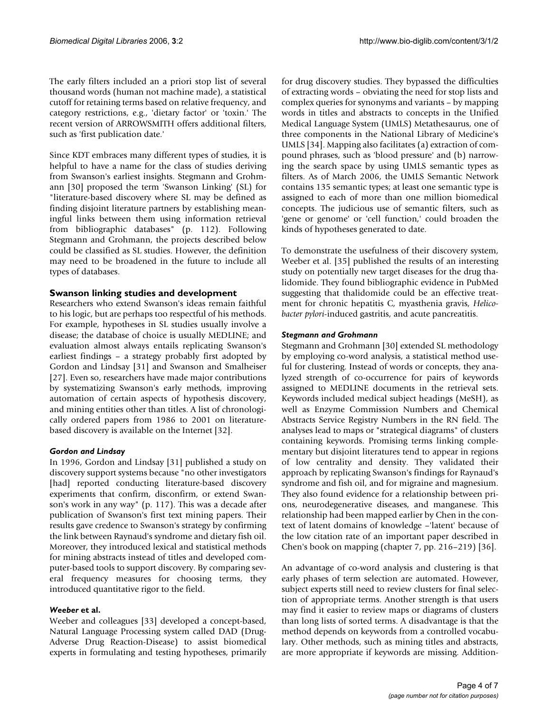The early filters included an a priori stop list of several thousand words (human not machine made), a statistical cutoff for retaining terms based on relative frequency, and category restrictions, e.g., 'dietary factor' or 'toxin.' The recent version of ARROWSMITH offers additional filters, such as 'first publication date.'

Since KDT embraces many different types of studies, it is helpful to have a name for the class of studies deriving from Swanson's earliest insights. Stegmann and Grohmann [30] proposed the term 'Swanson Linking' (SL) for "literature-based discovery where SL may be defined as finding disjoint literature partners by establishing meaningful links between them using information retrieval from bibliographic databases" (p. 112). Following Stegmann and Grohmann, the projects described below could be classified as SL studies. However, the definition may need to be broadened in the future to include all types of databases.

### **Swanson linking studies and development**

Researchers who extend Swanson's ideas remain faithful to his logic, but are perhaps too respectful of his methods. For example, hypotheses in SL studies usually involve a disease; the database of choice is usually MEDLINE; and evaluation almost always entails replicating Swanson's earliest findings – a strategy probably first adopted by Gordon and Lindsay [31] and Swanson and Smalheiser [27]. Even so, researchers have made major contributions by systematizing Swanson's early methods, improving automation of certain aspects of hypothesis discovery, and mining entities other than titles. A list of chronologically ordered papers from 1986 to 2001 on literaturebased discovery is available on the Internet [32].

### *Gordon and Lindsay*

In 1996, Gordon and Lindsay [31] published a study on discovery support systems because "no other investigators [had] reported conducting literature-based discovery experiments that confirm, disconfirm, or extend Swanson's work in any way" (p. 117). This was a decade after publication of Swanson's first text mining papers. Their results gave credence to Swanson's strategy by confirming the link between Raynaud's syndrome and dietary fish oil. Moreover, they introduced lexical and statistical methods for mining abstracts instead of titles and developed computer-based tools to support discovery. By comparing several frequency measures for choosing terms, they introduced quantitative rigor to the field.

#### *Weeber* **et al.**

Weeber and colleagues [33] developed a concept-based, Natural Language Processing system called DAD (Drug-Adverse Drug Reaction-Disease) to assist biomedical experts in formulating and testing hypotheses, primarily for drug discovery studies. They bypassed the difficulties of extracting words – obviating the need for stop lists and complex queries for synonyms and variants – by mapping words in titles and abstracts to concepts in the Unified Medical Language System (UMLS) Metathesaurus, one of three components in the National Library of Medicine's UMLS [34]. Mapping also facilitates (a) extraction of compound phrases, such as 'blood pressure' and (b) narrowing the search space by using UMLS semantic types as filters. As of March 2006, the UMLS Semantic Network contains 135 semantic types; at least one semantic type is assigned to each of more than one million biomedical concepts. The judicious use of semantic filters, such as 'gene or genome' or 'cell function,' could broaden the kinds of hypotheses generated to date.

To demonstrate the usefulness of their discovery system, Weeber et al. [35] published the results of an interesting study on potentially new target diseases for the drug thalidomide. They found bibliographic evidence in PubMed suggesting that thalidomide could be an effective treatment for chronic hepatitis C, myasthenia gravis, *Helicobacter pylori*-induced gastritis, and acute pancreatitis.

#### *Stegmann and Grohmann*

Stegmann and Grohmann [30] extended SL methodology by employing co-word analysis, a statistical method useful for clustering. Instead of words or concepts, they analyzed strength of co-occurrence for pairs of keywords assigned to MEDLINE documents in the retrieval sets. Keywords included medical subject headings (MeSH), as well as Enzyme Commission Numbers and Chemical Abstracts Service Registry Numbers in the RN field. The analyses lead to maps or "strategical diagrams" of clusters containing keywords. Promising terms linking complementary but disjoint literatures tend to appear in regions of low centrality and density. They validated their approach by replicating Swanson's findings for Raynaud's syndrome and fish oil, and for migraine and magnesium. They also found evidence for a relationship between prions, neurodegenerative diseases, and manganese. This relationship had been mapped earlier by Chen in the context of latent domains of knowledge –'latent' because of the low citation rate of an important paper described in Chen's book on mapping (chapter 7, pp. 216–219) [36].

An advantage of co-word analysis and clustering is that early phases of term selection are automated. However, subject experts still need to review clusters for final selection of appropriate terms. Another strength is that users may find it easier to review maps or diagrams of clusters than long lists of sorted terms. A disadvantage is that the method depends on keywords from a controlled vocabulary. Other methods, such as mining titles and abstracts, are more appropriate if keywords are missing. Addition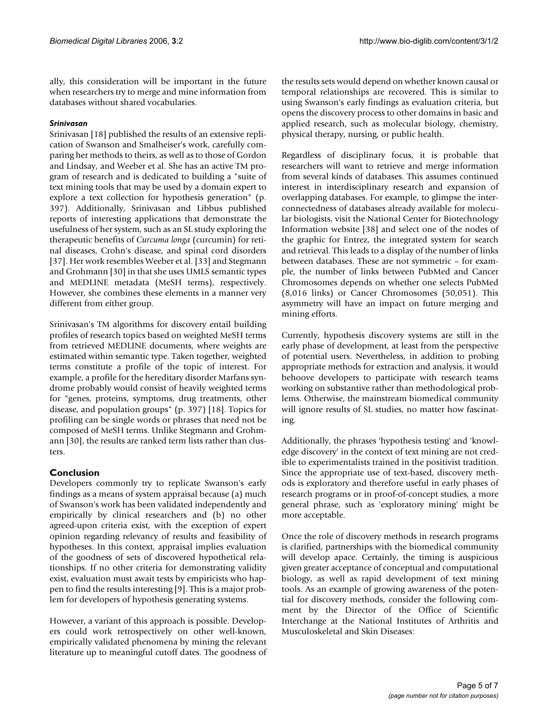ally, this consideration will be important in the future when researchers try to merge and mine information from databases without shared vocabularies.

## *Srinivasan*

Srinivasan [18] published the results of an extensive replication of Swanson and Smalheiser's work, carefully comparing her methods to theirs, as well as to those of Gordon and Lindsay, and Weeber et al. She has an active TM program of research and is dedicated to building a "suite of text mining tools that may be used by a domain expert to explore a text collection for hypothesis generation" (p. 397). Additionally, Srinivasan and Libbus published reports of interesting applications that demonstrate the usefulness of her system, such as an SL study exploring the therapeutic benefits of *Curcuma longa* (curcumin) for retinal diseases, Crohn's disease, and spinal cord disorders [37]. Her work resembles Weeber et al. [33] and Stegmann and Grohmann [30] in that she uses UMLS semantic types and MEDLINE metadata (MeSH terms), respectively. However, she combines these elements in a manner very different from either group.

Srinivasan's TM algorithms for discovery entail building profiles of research topics based on weighted MeSH terms from retrieved MEDLINE documents, where weights are estimated within semantic type. Taken together, weighted terms constitute a profile of the topic of interest. For example, a profile for the hereditary disorder Marfans syndrome probably would consist of heavily weighted terms for "genes, proteins, symptoms, drug treatments, other disease, and population groups" (p. 397) [18]. Topics for profiling can be single words or phrases that need not be composed of MeSH terms. Unlike Stegmann and Grohmann [30], the results are ranked term lists rather than clusters.

# **Conclusion**

Developers commonly try to replicate Swanson's early findings as a means of system appraisal because (a) much of Swanson's work has been validated independently and empirically by clinical researchers and (b) no other agreed-upon criteria exist, with the exception of expert opinion regarding relevancy of results and feasibility of hypotheses. In this context, appraisal implies evaluation of the goodness of sets of discovered hypothetical relationships. If no other criteria for demonstrating validity exist, evaluation must await tests by empiricists who happen to find the results interesting [9]. This is a major problem for developers of hypothesis generating systems.

However, a variant of this approach is possible. Developers could work retrospectively on other well-known, empirically validated phenomena by mining the relevant literature up to meaningful cutoff dates. The goodness of the results sets would depend on whether known causal or temporal relationships are recovered. This is similar to using Swanson's early findings as evaluation criteria, but opens the discovery process to other domains in basic and applied research, such as molecular biology, chemistry, physical therapy, nursing, or public health.

Regardless of disciplinary focus, it is probable that researchers will want to retrieve and merge information from several kinds of databases. This assumes continued interest in interdisciplinary research and expansion of overlapping databases. For example, to glimpse the interconnectedness of databases already available for molecular biologists, visit the National Center for Biotechnology Information website [38] and select one of the nodes of the graphic for Entrez, the integrated system for search and retrieval. This leads to a display of the number of links between databases. These are not symmetric – for example, the number of links between PubMed and Cancer Chromosomes depends on whether one selects PubMed (8,016 links) or Cancer Chromosomes (50,051). This asymmetry will have an impact on future merging and mining efforts.

Currently, hypothesis discovery systems are still in the early phase of development, at least from the perspective of potential users. Nevertheless, in addition to probing appropriate methods for extraction and analysis, it would behoove developers to participate with research teams working on substantive rather than methodological problems. Otherwise, the mainstream biomedical community will ignore results of SL studies, no matter how fascinating.

Additionally, the phrases 'hypothesis testing' and 'knowledge discovery' in the context of text mining are not credible to experimentalists trained in the positivist tradition. Since the appropriate use of text-based, discovery methods is exploratory and therefore useful in early phases of research programs or in proof-of-concept studies, a more general phrase, such as 'exploratory mining' might be more acceptable.

Once the role of discovery methods in research programs is clarified, partnerships with the biomedical community will develop apace. Certainly, the timing is auspicious given greater acceptance of conceptual and computational biology, as well as rapid development of text mining tools. As an example of growing awareness of the potential for discovery methods, consider the following comment by the Director of the Office of Scientific Interchange at the National Institutes of Arthritis and Musculoskeletal and Skin Diseases: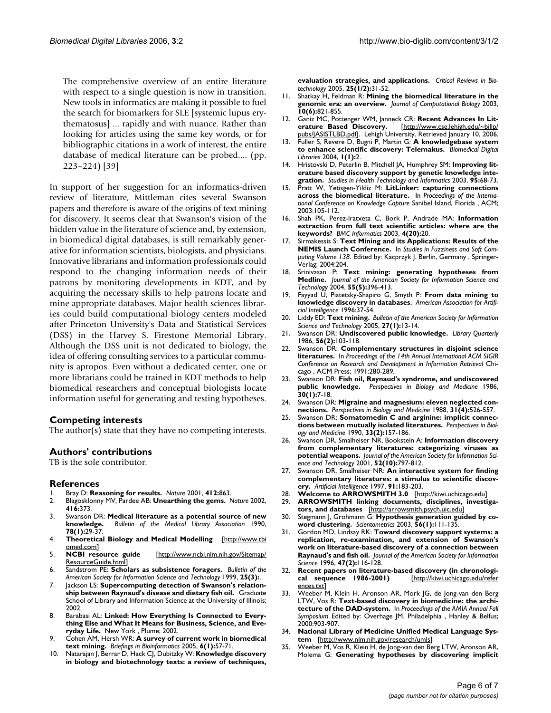The comprehensive overview of an entire literature with respect to a single question is now in transition. New tools in informatics are making it possible to fuel the search for biomarkers for SLE [systemic lupus erythematosus] ... rapidly and with nuance. Rather than looking for articles using the same key words, or for bibliographic citations in a work of interest, the entire database of medical literature can be probed.... (pp. 223–224) [39]

In support of her suggestion for an informatics-driven review of literature, Mittleman cites several Swanson papers and therefore is aware of the origins of text mining for discovery. It seems clear that Swanson's vision of the hidden value in the literature of science and, by extension, in biomedical digital databases, is still remarkably generative for information scientists, biologists, and physicians. Innovative librarians and information professionals could respond to the changing information needs of their patrons by monitoring developments in KDT, and by acquiring the necessary skills to help patrons locate and mine appropriate databases. Major health sciences libraries could build computational biology centers modeled after Princeton University's Data and Statistical Services (DSS) in the Harvey S. Firestone Memorial Library. Although the DSS unit is not dedicated to biology, the idea of offering consulting services to a particular community is apropos. Even without a dedicated center, one or more librarians could be trained in KDT methods to help biomedical researchers and conceptual biologists locate information useful for generating and testing hypotheses.

#### **Competing interests**

The author(s) state that they have no competing interests.

#### **Authors' contributions**

TB is the sole contributor.

#### **References**

- 1. Bray D: **Reasoning for results.** *Nature* 2001, **412:**863.
- 2. Blagosklonny MV, Pardee AB: **Unearthing the gems.** *Nature* 2002, **416:**373.
- 3. Swanson DR: **Medical literature as a potential source of new knowledge.** *Bulletin of the Medical Library Association* 1990, **78(1):**29-37.
- 4. **Theoretical Biology and Medical Modelling** [http://www.tbi
- omed.com]<br>**NCBI** resource guide 5. **NCBI resource guide** [http://www.ncbi.nlm.nih.gov/Sitemap/ ResourceGuide.html]
- 6. Sandstrom PE: **Scholars as subsistence foragers.** *Bulletin of the American Society for Information Science and Technology* 1999, **25(3):**.
- 7. Jackson LS: **Supercomputing detection of Swanson's relationship between Raynaud's disease and dietary fish oil.** Graduate School of Library and Information Science at the University of Illinois; 2002.
- 8. Barabasi AL: **Linked: How Everything Is Connected to Everything Else and What It Means for Business, Science, and Everyday Life.** New York , Plume; 2002.
- 9. Cohen AM, Hersh WR: **A survey of current work in biomedical text mining.** *Briefings in Bioinformatics* 2005, **6(1):**57-71.
- 10. Natarajan J, Berrar D, Hack CJ, Dubitzky W: **Knowledge discovery in biology and biotechnology texts: a review of techniques,**

**evaluation strategies, and applications.** *Critical Reviews in Biotechnology* 2005, **25(1/2):**31-52.

- 11. Shatkay H, Feldman R: **Mining the biomedical literature in the genomic era: an overview.** *Journal of Computational Biology* 2003, **10(6):**821-855.
- 12. Ganiz MC, Pottenger WM, Janneck CR: **Recent Advances In Literature Based Discovery.** [http://www.cse.lehigh.edu/~billp/ pubs/JASISTLBD.pdf]. Lehigh University. Retrieved January 10, 2006.
- 13. Fuller S, Revere D, Bugni P, Martin G: **A knowledgebase system to enhance scientific discovery: Telemakus.** *Biomedical Digital Libraries* 2004, **1(1):**2.
- 14. Hristovski D, Peterlin B, Mitchell JA, Humphrey SM: **Improving literature based discovery support by genetic knowledge integration.** *Studies in Health Technology and Informatics* 2003, **95:**68-73.
- 15. Pratt W, Yetisgen-Yildiz M: **LitLinker: capturing connections across the biomedical literature.** In *Proceedings of the International Conference on Knowledge Capture* Sanibel Island, Florida , ACM; 2003:105-112.
- 16. Shah PK, Perez-Iratxeta C, Bork P, Andrade MA: **Information extraction from full text scientific articles: where are the keywords?** *BMC Informatics* 2003, **4(20):**20.
- 17. Sirmakessis S: **Text Mining and its Applications: Results of the NEMIS Launch Conference.** In *Studies in Fuzziness and Soft Computing Volume 138*. Edited by: Kacprzyk J. Berlin, Germany , Springer-Verlag; 2004:204.
- 18. Srinivasan P: **Text mining: generating hypotheses from Medline.** *Journal of the American Society for Information Science and Technology* 2004, **55(5):**396-413.
- 19. Fayyad U, Piatetsky-Shapiro G, Smyth P: **From data mining to knowledge discovery in databases.** *American Association for Artificial Intelligence* 1996:37-54.
- 20. Liddy ED: **Text mining.** *Bulletin of the American Society for Information Science and Technology* 2005, **27(1):**13-14.
- 21. Swanson DR: **Undiscovered public knowledge.** *Library Quarterly* 1986, **56(2):**103-118.
- 22. Swanson DR: **Complementary structures in disjoint science literatures.** In *Proceedings of the 14th Annual International ACM SIGIR Conference on Research and Development in Information Retrieval* Chicago , ACM Press; 1991:280-289.
- 23. Swanson DR: **Fish oil, Raynaud's syndrome, and undiscovered public knowledge.** *Perspectives in Biology and Medicine* 1986, **30(1):**7-18.
- 24. Swanson DR: **Migraine and magnesium: eleven neglected connections.** *Perspectives in Biology and Medicine* 1988, **31(4):**526-557.
- 25. Swanson DR: **Somatomedin C and arginine: implicit connections between mutually isolated literatures.** *Perspectives in Biology and Medicine* 1990, **33(2):**157-186.
- 26. Swanson DR, Smalheiser NR, Bookstein A: **Information discovery from complementary literatures: categorizing viruses as potential weapons.** *Journal of the American Society for Information Science and Technology* 2001, **52(10):**797-812.
- 27. Swanson DR, Smalheiser NR: **An interactive system for finding complementary literatures: a stimulus to scientific discovery.** *Artificial Intelligence* 1997, **91:**183-203.
- 28. **Welcome to ARROWSMITH 3.0** [http://kiwi.uchicago.edu]
- 29. **ARROWSMITH linking documents, disciplines, investigators, and databases** [http://arrowsmith.psych.uic.edu]
- 30. Stegmann J, Grohmann G: **Hypothesis generation guided by coword clustering.** *Scientometrics* 2003, **56(1):**111-135.
- 31. Gordon MD, Lindsay RK: **Toward discovery support systems: a replication, re-examination, and extension of Swanson's work on literature-based discovery of a connection between Raynaud's and fish oil.** *Journal of the American Society for Information Science* 1996, **47(2):**116-128.
- 32. **Recent papers on literature-based discovery (in chronological sequence 1986-2001)** [http://kiwi.uchicago.edu/refer ences.txt
- 33. Weeber M, Klein H, Aronson AR, Mork JG, de Jong-van den Berg LTW, Vos R: **Text-based discovery in biomedicine: the architecture of the DAD-system.** In *Proceedings of the AMIA Annual Fall Symposium* Edited by: Overhage JM. Philadelphia , Hanley & Belfus; 2000:903-907.
- 34. **National Library of Medicine Unified Medical Language System** [http://www.nlm.nih.gov/research/umls]
- 35. Weeber M, Vos R, Klein H, de Jong-van den Berg LTW, Aronson AR, Molema G: **Generating hypotheses by discovering implicit**